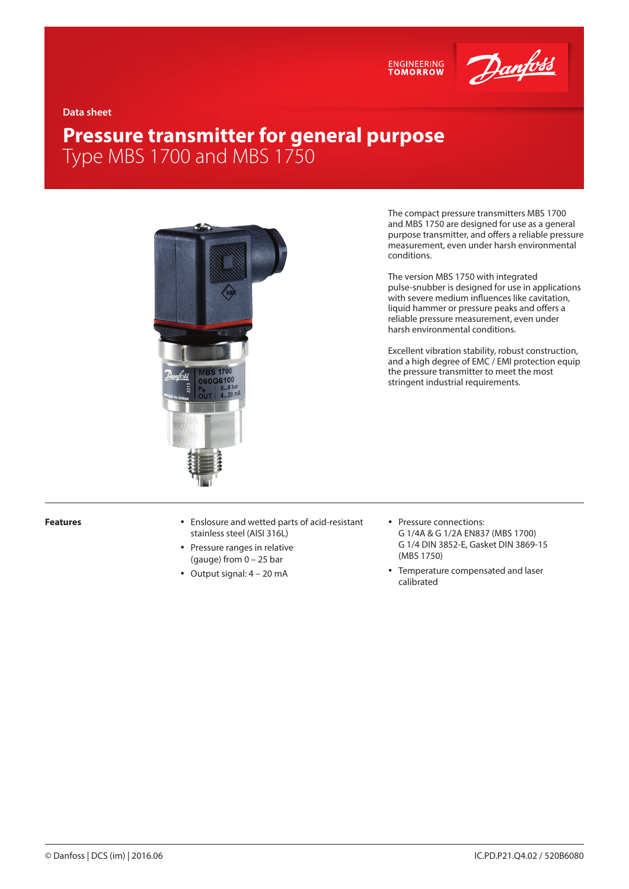



**Data sheet**

# **Pressure transmitter for general purpose** Type MBS 1700 and MBS 1750



The compact pressure transmitters MBS 1700 and MBS 1750 are designed for use as a general purpose transmitter, and offers a reliable pressure measurement, even under harsh environmental conditions.

The version MBS 1750 with integrated pulse-snubber is designed for use in applications with severe medium influences like cavitation, liquid hammer or pressure peaks and offers a reliable pressure measurement, even under harsh environmental conditions.

Excellent vibration stability, robust construction, and a high degree of EMC / EMI protection equip the pressure transmitter to meet the most stringent industrial requirements.

- **Features value 3** Features **value 4** Enslosure and wetted parts of acid-resistant stainless steel (AISI 316L)
	- Pressure ranges in relative (gauge) from 0 – 25 bar
	- $\bullet$  Output signal:  $4 20$  mA
- Pressure connections: G 1/4A & G 1/2A EN837 (MBS 1700) G 1/4 DIN 3852-E, Gasket DIN 3869-15 (MBS 1750)
- Temperature compensated and laser calibrated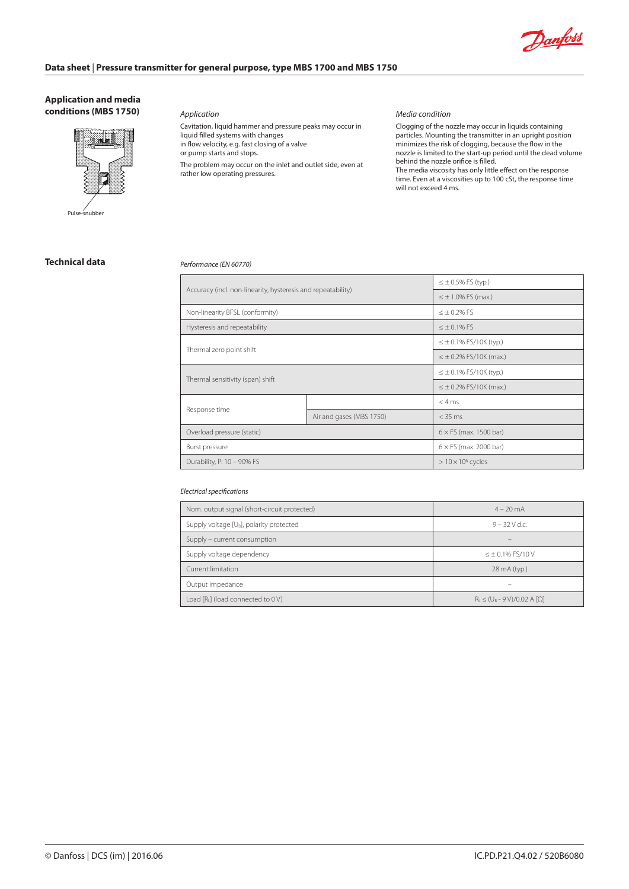

#### **Application and media conditions (MBS 1750)**



Pulse-snubber

*Application*

Cavitation, liquid hammer and pressure peaks may occur in liquid filled systems with changes in flow velocity, e.g. fast closing of a valve or pump starts and stops. The problem may occur on the inlet and outlet side, even at rather low operating pressures.

#### *Media condition*

Clogging of the nozzle may occur in liquids containing particles. Mounting the transmitter in an upright position minimizes the risk of clogging, because the flow in the nozzle is limited to the start-up period until the dead volume behind the nozzle orifice is filled. The media viscosity has only little effect on the response

time. Even at a viscosities up to 100 cSt, the response time will not exceed 4 ms.

### **Technical data**

#### *Performance (EN 60770)*

| Accuracy (incl. non-linearity, hysteresis and repeatability) |                          | $\leq \pm 0.5\%$ FS (typ.)     |
|--------------------------------------------------------------|--------------------------|--------------------------------|
|                                                              |                          | $\leq \pm 1.0\%$ FS (max.)     |
| Non-linearity BFSL (conformity)                              |                          | $< +0.2%$ FS                   |
| Hysteresis and repeatability                                 |                          | $\leq \pm 0.1\%$ FS            |
| Thermal zero point shift                                     |                          | $\leq \pm 0.1\%$ FS/10K (typ.) |
|                                                              |                          | $\leq \pm 0.2\%$ FS/10K (max.) |
| Thermal sensitivity (span) shift                             |                          | $\leq \pm 0.1\%$ FS/10K (typ.) |
|                                                              |                          | $\leq \pm 0.2\%$ FS/10K (max.) |
|                                                              |                          | < 4 ms                         |
| Response time                                                | Air and gases (MBS 1750) | $<$ 35 ms                      |
| Overload pressure (static)                                   |                          | $6 \times FS$ (max. 1500 bar)  |
| Burst pressure                                               |                          | $6 \times$ FS (max. 2000 bar)  |
| Durability, P: 10 - 90% FS                                   |                          | $>10\times10^6$ cycles         |

#### *Electrical specifications*

| Nom. output signal (short-circuit protected)   | $4 - 20$ mA                            |  |
|------------------------------------------------|----------------------------------------|--|
| Supply voltage $[U_{B}]$ , polarity protected  | $9 - 32$ V d.c.                        |  |
| Supply – current consumption                   |                                        |  |
| Supply voltage dependency                      | $\leq \pm 0.1\%$ FS/10 V               |  |
| Current limitation                             | 28 mA (typ.)                           |  |
| Output impedance                               |                                        |  |
| Load [R <sub>1</sub> ] (load connected to 0 V) | $R_1 \leq (U_B - 9 V)/0.02 A [\Omega]$ |  |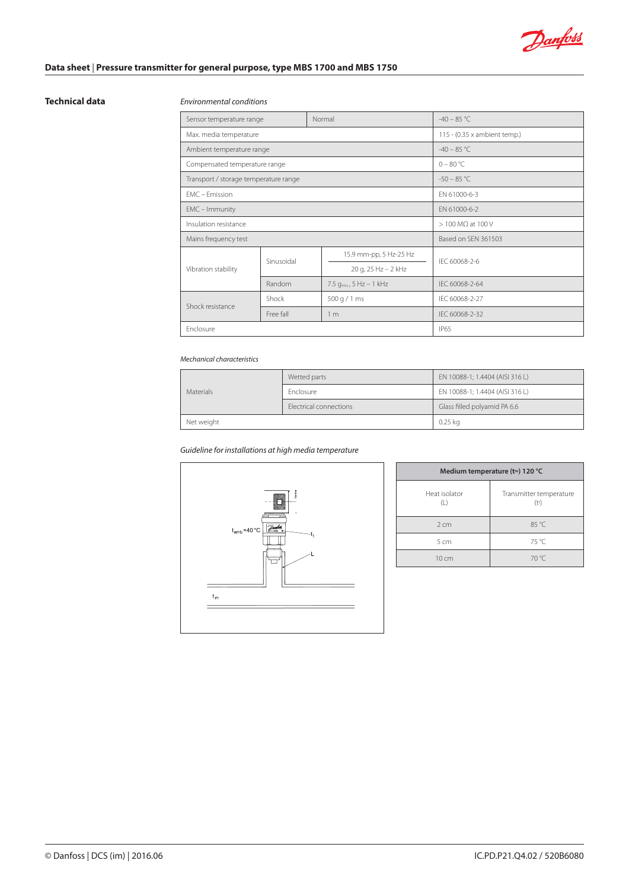

#### **Technical data**

### *Environmental conditions*

| Sensor temperature range              | Normal     |                              | $-40 - 85$ °C  |
|---------------------------------------|------------|------------------------------|----------------|
| Max. media temperature                |            | 115 - (0.35 x ambient temp.) |                |
| Ambient temperature range             |            | $-40 - 85$ °C                |                |
| Compensated temperature range         |            | $0 - 80 °C$                  |                |
| Transport / storage temperature range |            | $-50 - 85$ °C                |                |
| FMC - Emission                        |            | EN 61000-6-3                 |                |
| EMC - Immunity                        |            | FN 61000-6-2                 |                |
| Insulation resistance                 |            | $> 100$ M $\Omega$ at 100 V  |                |
| Mains frequency test                  |            | Based on SEN 361503          |                |
| Vibration stability                   | Sinusoidal | 15.9 mm-pp, 5 Hz-25 Hz       | IEC 60068-2-6  |
|                                       |            | 20 g, 25 Hz - 2 kHz          |                |
|                                       | Random     | 7.5 $q_{rms}$ , 5 Hz – 1 kHz | IFC 60068-2-64 |
| Shock resistance                      | Shock      | 500 g / 1 ms                 | IEC 60068-2-27 |
|                                       | Free fall  | 1 <sub>m</sub>               | IEC 60068-2-32 |
| Enclosure                             |            | <b>IP65</b>                  |                |

#### *Mechanical characteristics*

|                  | Wetted parts           | EN 10088-1; 1.4404 (AISI 316 L) |
|------------------|------------------------|---------------------------------|
| <b>Materials</b> | <b>Enclosure</b>       | EN 10088-1; 1.4404 (AISI 316 L) |
|                  | Electrical connections | Glass filled polyamid PA 6.6    |
| Net weight       |                        | $0.25$ kg                       |

*Guideline for installations at high media temperature*



| Medium temperature (tm) 120 °C |                                    |  |
|--------------------------------|------------------------------------|--|
| Heat isolator<br>(L)           | Transmitter temperature<br>$(t^t)$ |  |
| 2 cm                           | 85 °C                              |  |
| 5 <sub>cm</sub>                | 75 °C                              |  |
| $10 \, \text{cm}$              | $70^{\circ}$ C                     |  |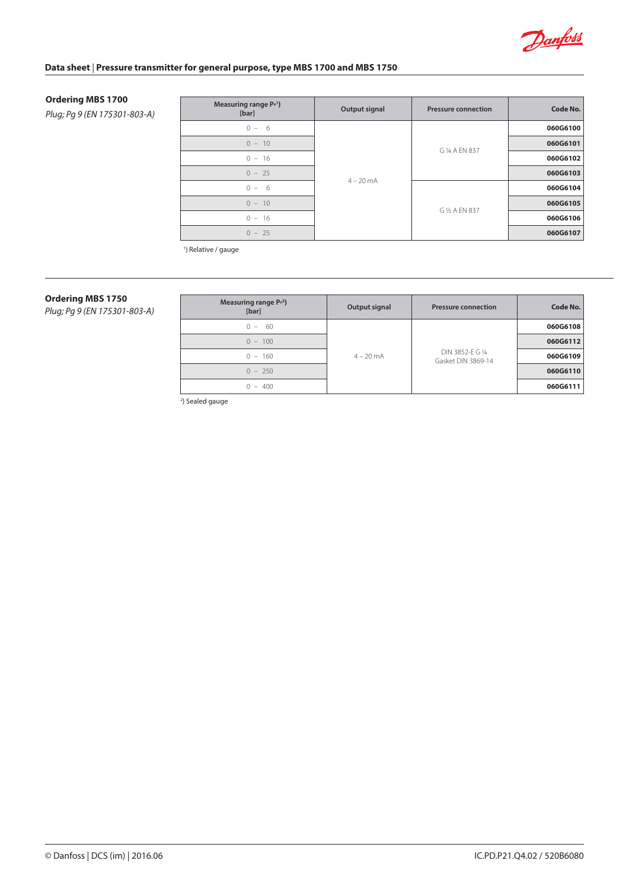

#### **Ordering MBS 1700**

*Plug; Pg 9 (EN 175301-803-A)*

| Measuring range P <sup>e1</sup> )<br>[bar] | Output signal | <b>Pressure connection</b> | Code No. |
|--------------------------------------------|---------------|----------------------------|----------|
| $0 - 6$                                    | $4 - 20$ mA   |                            | 060G6100 |
| $0 - 10$                                   |               |                            | 060G6101 |
| $0 - 16$                                   |               | G 1/4 A EN 837             | 060G6102 |
| $0 - 25$                                   |               |                            | 060G6103 |
| $0 - 6$                                    |               |                            | 060G6104 |
| $0 - 10$                                   |               | G 1/2 A EN 837             | 060G6105 |
| $0 - 16$                                   |               |                            | 060G6106 |
| $0 - 25$                                   |               |                            | 060G6107 |

<sup>1</sup>) Relative / gauge

# **Ordering MBS 1750**

*Plug; Pg 9 (EN 175301-803-A)*

| Measuring range $Pe2$ )<br>[bar] | Output signal       | <b>Pressure connection</b>             | Code No. |
|----------------------------------|---------------------|----------------------------------------|----------|
| $0 - 60$                         | $4 - 20 \text{ mA}$ | DIN 3852-E G 1/4<br>Gasket DIN 3869-14 | 060G6108 |
| $0 - 100$                        |                     |                                        | 060G6112 |
| $0 - 160$                        |                     |                                        | 060G6109 |
| $0 - 250$                        |                     |                                        | 060G6110 |
| $0 - 400$                        |                     |                                        | 060G6111 |

2 ) Sealed gauge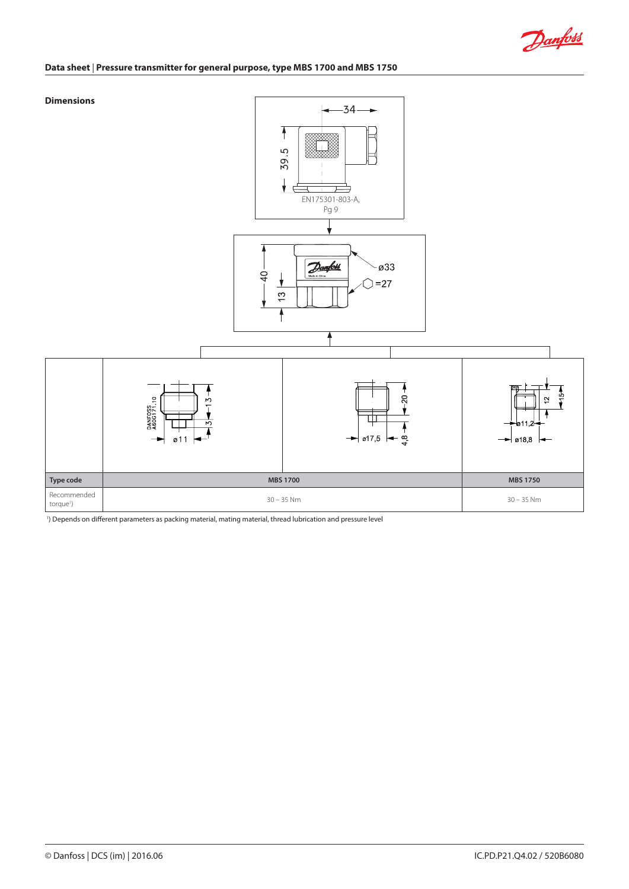

#### **Dimensions**



1 ) Depends on different parameters as packing material, mating material, thread lubrication and pressure level